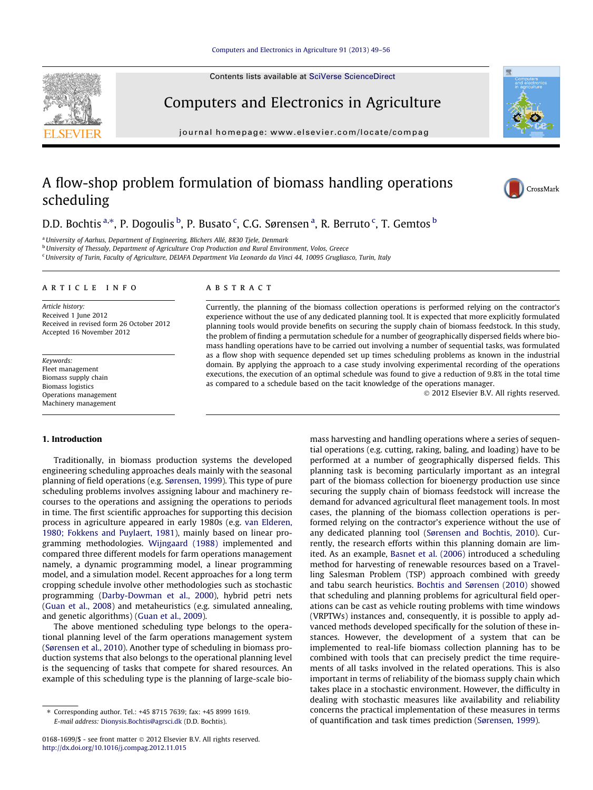#### [Computers and Electronics in Agriculture 91 \(2013\) 49–56](http://dx.doi.org/10.1016/j.compag.2012.11.015)

Contents lists available at [SciVerse ScienceDirect](http://www.sciencedirect.com/science/journal/01681699)

scheduling



Computers and Electronics in Agriculture journal homepage: [www.elsevier.com/locate/compag](http://www.elsevier.com/locate/compag)

# A flow-shop problem formulation of biomass handling operations



D.D. Bochtis <sup>a,\*</sup>, P. Dogoulis <sup>b</sup>, P. Busato <sup>c</sup>, C.G. Sørensen <sup>a</sup>, R. Berruto <sup>c</sup>, T. Gemtos <sup>b</sup>

<sup>a</sup>University of Aarhus, Department of Engineering, Blichers Allé, 8830 Tjele, Denmark

**b** University of Thessaly, Department of Agriculture Crop Production and Rural Environment, Volos, Greece

<sup>c</sup> University of Turin, Faculty of Agriculture, DEIAFA Department Via Leonardo da Vinci 44, 10095 Grugliasco, Turin, Italy

#### article info

Article history: Received 1 June 2012 Received in revised form 26 October 2012 Accepted 16 November 2012

Keywords: Fleet management Biomass supply chain Biomass logistics Operations management Machinery management

#### 1. Introduction

Traditionally, in biomass production systems the developed engineering scheduling approaches deals mainly with the seasonal planning of field operations (e.g. [Sørensen, 1999](#page--1-0)). This type of pure scheduling problems involves assigning labour and machinery recourses to the operations and assigning the operations to periods in time. The first scientific approaches for supporting this decision process in agriculture appeared in early 1980s (e.g. [van Elderen,](#page--1-0) [1980; Fokkens and Puylaert, 1981\)](#page--1-0), mainly based on linear programming methodologies. [Wijngaard \(1988\)](#page--1-0) implemented and compared three different models for farm operations management namely, a dynamic programming model, a linear programming model, and a simulation model. Recent approaches for a long term cropping schedule involve other methodologies such as stochastic programming [\(Darby-Dowman et al., 2000\)](#page--1-0), hybrid petri nets ([Guan et al., 2008](#page--1-0)) and metaheuristics (e.g. simulated annealing, and genetic algorithms) ([Guan et al., 2009](#page--1-0)).

The above mentioned scheduling type belongs to the operational planning level of the farm operations management system ([Sørensen et al., 2010](#page--1-0)). Another type of scheduling in biomass production systems that also belongs to the operational planning level is the sequencing of tasks that compete for shared resources. An example of this scheduling type is the planning of large-scale bio-

#### ABSTRACT

Currently, the planning of the biomass collection operations is performed relying on the contractor's experience without the use of any dedicated planning tool. It is expected that more explicitly formulated planning tools would provide benefits on securing the supply chain of biomass feedstock. In this study, the problem of finding a permutation schedule for a number of geographically dispersed fields where biomass handling operations have to be carried out involving a number of sequential tasks, was formulated as a flow shop with sequence depended set up times scheduling problems as known in the industrial domain. By applying the approach to a case study involving experimental recording of the operations executions, the execution of an optimal schedule was found to give a reduction of 9.8% in the total time as compared to a schedule based on the tacit knowledge of the operations manager.

- 2012 Elsevier B.V. All rights reserved.

mass harvesting and handling operations where a series of sequential operations (e.g. cutting, raking, baling, and loading) have to be performed at a number of geographically dispersed fields. This planning task is becoming particularly important as an integral part of the biomass collection for bioenergy production use since securing the supply chain of biomass feedstock will increase the demand for advanced agricultural fleet management tools. In most cases, the planning of the biomass collection operations is performed relying on the contractor's experience without the use of any dedicated planning tool ([Sørensen and Bochtis, 2010](#page--1-0)). Currently, the research efforts within this planning domain are limited. As an example, [Basnet et al. \(2006\)](#page--1-0) introduced a scheduling method for harvesting of renewable resources based on a Travelling Salesman Problem (TSP) approach combined with greedy and tabu search heuristics. [Bochtis and Sørensen \(2010\)](#page--1-0) showed that scheduling and planning problems for agricultural field operations can be cast as vehicle routing problems with time windows (VRPTWs) instances and, consequently, it is possible to apply advanced methods developed specifically for the solution of these instances. However, the development of a system that can be implemented to real-life biomass collection planning has to be combined with tools that can precisely predict the time requirements of all tasks involved in the related operations. This is also important in terms of reliability of the biomass supply chain which takes place in a stochastic environment. However, the difficulty in dealing with stochastic measures like availability and reliability concerns the practical implementation of these measures in terms of quantification and task times prediction ([Sørensen, 1999\)](#page--1-0).

<sup>⇑</sup> Corresponding author. Tel.: +45 8715 7639; fax: +45 8999 1619. E-mail address: [Dionysis.Bochtis@agrsci.dk](mailto:Dionysis.Bochtis@agrsci.dk) (D.D. Bochtis).

<sup>0168-1699/\$ -</sup> see front matter © 2012 Elsevier B.V. All rights reserved. <http://dx.doi.org/10.1016/j.compag.2012.11.015>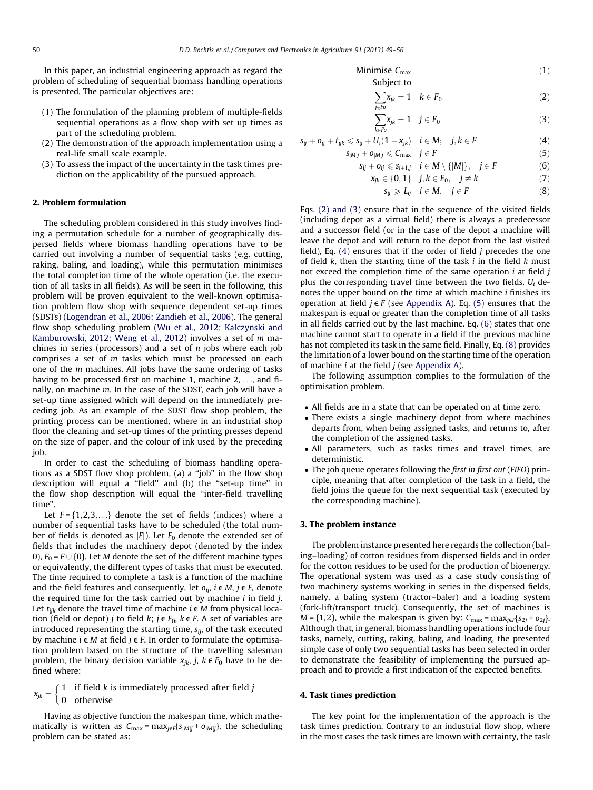In this paper, an industrial engineering approach as regard the problem of scheduling of sequential biomass handling operations is presented. The particular objectives are:

- (1) The formulation of the planning problem of multiple-fields sequential operations as a flow shop with set up times as part of the scheduling problem.
- (2) The demonstration of the approach implementation using a real-life small scale example.
- (3) To assess the impact of the uncertainty in the task times prediction on the applicability of the pursued approach.

#### 2. Problem formulation

The scheduling problem considered in this study involves finding a permutation schedule for a number of geographically dispersed fields where biomass handling operations have to be carried out involving a number of sequential tasks (e.g. cutting, raking, baling, and loading), while this permutation minimises the total completion time of the whole operation (i.e. the execution of all tasks in all fields). As will be seen in the following, this problem will be proven equivalent to the well-known optimisation problem flow shop with sequence dependent set-up times (SDSTs) [\(Logendran et al., 2006; Zandieh et al., 2006\)](#page--1-0). The general flow shop scheduling problem ([Wu et al., 2012; Kalczynski and](#page--1-0) [Kamburowski, 2012; Weng et al., 2012\)](#page--1-0) involves a set of m machines in series (processors) and a set of  $n$  jobs where each job comprises a set of m tasks which must be processed on each one of the m machines. All jobs have the same ordering of tasks having to be processed first on machine 1, machine 2, ..., and finally, on machine m. In the case of the SDST, each job will have a set-up time assigned which will depend on the immediately preceding job. As an example of the SDST flow shop problem, the printing process can be mentioned, where in an industrial shop floor the cleaning and set-up times of the printing presses depend on the size of paper, and the colour of ink used by the preceding job.

In order to cast the scheduling of biomass handling operations as a SDST flow shop problem, (a) a ''job'' in the flow shop description will equal a ''field'' and (b) the ''set-up time'' in the flow shop description will equal the ''inter-field travelling time''.

Let  $F = \{1,2,3,...\}$  denote the set of fields (indices) where a number of sequential tasks have to be scheduled (the total number of fields is denoted as  $|F|$ ). Let  $F_0$  denote the extended set of fields that includes the machinery depot (denoted by the index 0),  $F_0 = F \cup \{0\}$ . Let M denote the set of the different machine types or equivalently, the different types of tasks that must be executed. The time required to complete a task is a function of the machine and the field features and consequently, let  $o_{ij}$ ,  $i \in M$ ,  $j \in F$ , denote the required time for the task carried out by machine  $i$  in field  $j$ . Let  $t_{ijk}$  denote the travel time of machine  $i \in M$  from physical location (field or depot) j to field k;  $j \in F_0$ ,  $k \in F$ . A set of variables are introduced representing the starting time,  $s_{ii}$ , of the task executed by machine  $i \in M$  at field  $j \in F$ . In order to formulate the optimisation problem based on the structure of the travelling salesman problem, the binary decision variable  $x_{jk}$ ,  $j$ ,  $k \in F_0$  have to be defined where:

 $x_{jk} = \begin{cases} 1 & \text{if field } k \text{ is immediately processed after field } j \\ 0 & \text{otherwise} \end{cases}$ 

Having as objective function the makespan time, which mathematically is written as  $C_{\text{max}} = \max_{j \in F} \{s_{|M|j} + o_{|M|j}\}\)$ , the scheduling problem can be stated as:

Minimise 
$$
C_{\text{max}}
$$
 (1)  
Subject to

$$
\sum_{j \in F_0} x_{jk} = 1 \quad k \in F_0 \tag{2}
$$

$$
\sum_{k\in F_0} x_{jk} = 1 \quad j \in F_0 \tag{3}
$$

$$
s_{ij} + o_{ij} + t_{ijk} \leqslant s_{ij} + U_i(1 - x_{jk}) \quad i \in M; \quad j, k \in F
$$
 (4)

$$
S_{|M|j} + O_{|M|j} \le C_{\text{max}} \quad j \in F
$$
\n
$$
S_{ii} + O_{ii} \le S_{i+1} \quad i \in M \setminus \{|M|\}, \quad i \in F
$$
\n(5)

$$
s_{ij} + \sigma_{ij} \le s_{i+1,j} \quad t \in M \setminus \{ |M| \}, \quad j \in r
$$
  

$$
x_{ik} \in \{0, 1\} \quad i, k \in F_0, \quad j \ne k
$$
 (7)

$$
s_{ii} \ge L_{ii} \quad i \in M, \quad j \in F \tag{8}
$$

Eqs. (2) and (3) ensure that in the sequence of the visited fields (including depot as a virtual field) there is always a predecessor and a successor field (or in the case of the depot a machine will leave the depot and will return to the depot from the last visited field), Eq.  $(4)$  ensures that if the order of field j precedes the one of field  $k$ , then the starting time of the task  $i$  in the field  $k$  must not exceed the completion time of the same operation  $i$  at field  $j$ plus the corresponding travel time between the two fields.  $U_i$  denotes the upper bound on the time at which machine i finishes its operation at field  $j \in F$  (see [Appendix A\)](#page--1-0). Eq. (5) ensures that the makespan is equal or greater than the completion time of all tasks in all fields carried out by the last machine. Eq. (6) states that one machine cannot start to operate in a field if the previous machine has not completed its task in the same field. Finally, Eq. (8) provides the limitation of a lower bound on the starting time of the operation of machine  $i$  at the field  $j$  (see [Appendix A\)](#page--1-0).

The following assumption complies to the formulation of the optimisation problem.

- All fields are in a state that can be operated on at time zero.
- There exists a single machinery depot from where machines departs from, when being assigned tasks, and returns to, after the completion of the assigned tasks.
- All parameters, such as tasks times and travel times, are deterministic.
- The job queue operates following the first in first out (FIFO) principle, meaning that after completion of the task in a field, the field joins the queue for the next sequential task (executed by the corresponding machine).

#### 3. The problem instance

The problem instance presented here regards the collection (baling–loading) of cotton residues from dispersed fields and in order for the cotton residues to be used for the production of bioenergy. The operational system was used as a case study consisting of two machinery systems working in series in the dispersed fields, namely, a baling system (tractor–baler) and a loading system (fork-lift/transport truck). Consequently, the set of machines is  $M = \{1, 2\}$ , while the makespan is given by:  $C_{\text{max}} = \max_{i \in F} \{s_{2i} + o_{2i}\}.$ Although that, in general, biomass handling operations include four tasks, namely, cutting, raking, baling, and loading, the presented simple case of only two sequential tasks has been selected in order to demonstrate the feasibility of implementing the pursued approach and to provide a first indication of the expected benefits.

### 4. Task times prediction

The key point for the implementation of the approach is the task times prediction. Contrary to an industrial flow shop, where in the most cases the task times are known with certainty, the task